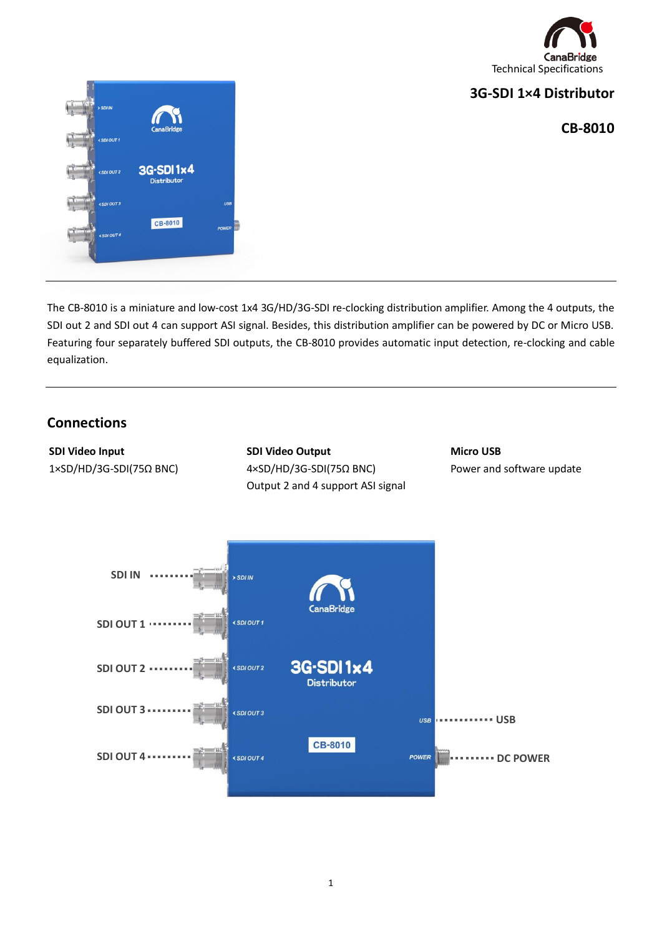

## **3G-SDI 1×4 Distributor**

### **CB-8010**



The CB-8010 is a miniature and low-cost 1x4 3G/HD/3G-SDI re-clocking distribution amplifier. Among the 4 outputs, the SDI out 2 and SDI out 4 can support ASI signal. Besides, this distribution amplifier can be powered by DC or Micro USB. Featuring four separately buffered SDI outputs, the CB-8010 provides automatic input detection, re-clocking and cable equalization.

## **Connections**

**SDI Video Input** 1×SD/HD/3G-SDI(75Ω BNC) **SDI Video Output** 4×SD/HD/3G-SDI(75Ω BNC) Output 2 and 4 support ASI signal **Micro USB** Power and software update

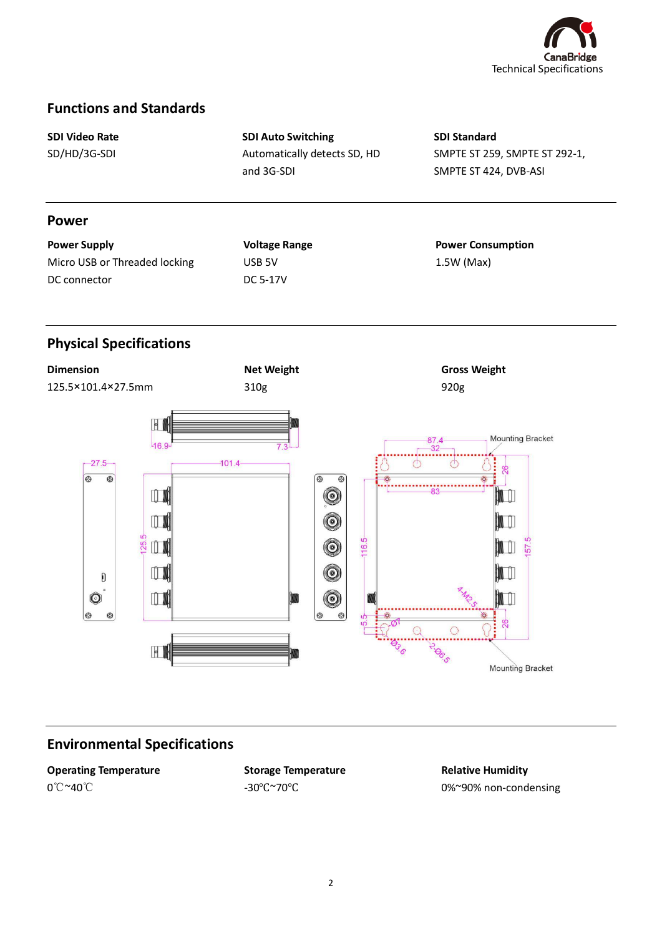

## **Functions and Standards**

**SDI Video Rate** SD/HD/3G-SDI

**SDI Auto Switching** Automatically detects SD, HD and 3G-SDI

**SDI Standard** SMPTE ST 259, SMPTE ST 292-1, SMPTE ST 424, DVB-ASI

#### **Power**

| <b>Power Supply</b>           |  |
|-------------------------------|--|
| Micro USB or Threaded locking |  |
| DC connector                  |  |

## **Voltage Range** USB 5V DC 5-17V

**Power Consumption**  1.5W (Max)

# **Physical Specifications**



## **Environmental Specifications**

**Operating Temperature** 0℃~40℃

**Storage Temperature** -30℃~70℃

**Relative Humidity** 0%~90% non-condensing